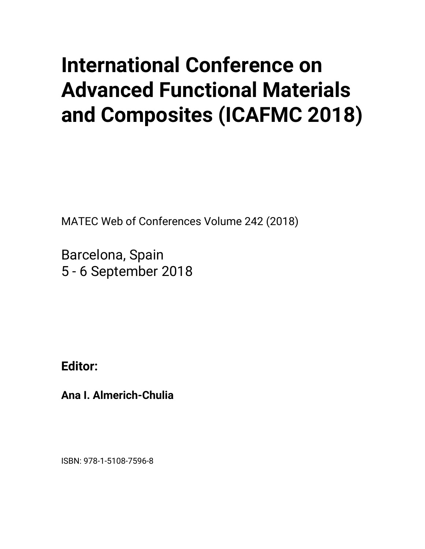## **International Conference on Advanced Functional Materials and Composites (ICAFMC 2018)**

MATEC Web of Conferences Volume 242 (2018)

Barcelona, Spain 5 - 6 September 2018

**Editor:** 

**Ana I. Almerich-Chulia** 

ISBN: 978-1-5108-7596-8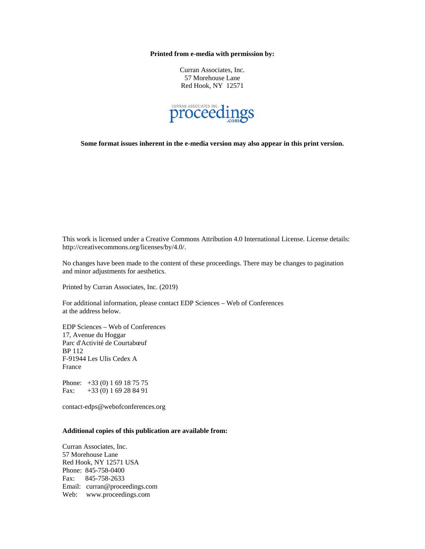## **Printed from e-media with permission by:**

Curran Associates, Inc. 57 Morehouse Lane Red Hook, NY 12571



**Some format issues inherent in the e-media version may also appear in this print version.** 

This work is licensed under a Creative Commons Attribution 4.0 International License. License details: http://creativecommons.org/licenses/by/4.0/.

No changes have been made to the content of these proceedings. There may be changes to pagination and minor adjustments for aesthetics.

Printed by Curran Associates, Inc. (2019)

For additional information, please contact EDP Sciences – Web of Conferences at the address below.

EDP Sciences – Web of Conferences 17, Avenue du Hoggar Parc d'Activité de Courtabœuf BP 112 F-91944 Les Ulis Cedex A France

Phone: +33 (0) 1 69 18 75 75 Fax: +33 (0) 1 69 28 84 91

contact-edps@webofconferences.org

## **Additional copies of this publication are available from:**

Curran Associates, Inc. 57 Morehouse Lane Red Hook, NY 12571 USA Phone: 845-758-0400 Fax: 845-758-2633 Email: curran@proceedings.com Web: www.proceedings.com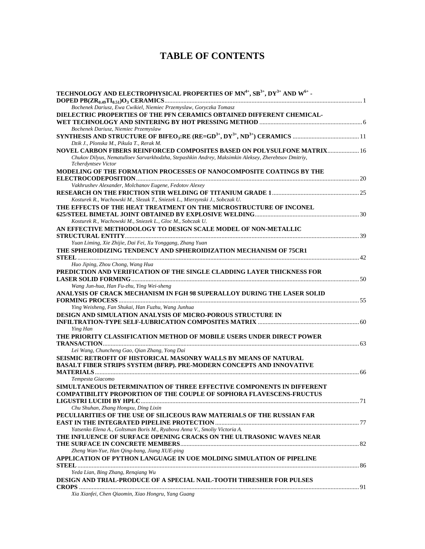## **TABLE OF CONTENTS**

| DIELECTRIC PROPERTIES OF THE PFN CERAMICS OBTAINED DIFFERENT CHEMICAL-<br>Bochenek Dariusz, Niemiec Przemyslaw<br>Dzik J., Plonska M., Pikula T., Rerak M.<br>NOVEL CARBON FIBERS REINFORCED COMPOSITES BASED ON POLYSULFONE MATRIX 16<br>Chukov Dilyus, Nematulloev Sarvarkhodzha, Stepashkin Andrey, Maksimkin Aleksey, Zherebtsov Dmitriy,<br>Tcherdyntsev Victor<br>MODELING OF THE FORMATION PROCESSES OF NANOCOMPOSITE COATINGS BY THE<br>Vakhrushev Alexander, Molchanov Eugene, Fedotov Alexey<br>Kosturek R., Wachowski M., Slezak T., Sniezek L., Mierzynski J., Sobczak U.<br>THE EFFECTS OF THE HEAT TREATMENT ON THE MICROSTRUCTURE OF INCONEL<br>Kosturek R., Wachowski M., Sniezek L., Gloc M., Sobczak U.<br>AN EFFECTIVE METHODOLOGY TO DESIGN SCALE MODEL OF NON-METALLIC<br>Yuan Liming, Xie Zhijie, Dai Fei, Xu Yonggang, Zhang Yuan<br>THE SPHEROIDIZING TENDENCY AND SPHEROIDIZATION MECHANISM OF 75CR1<br>Huo Jiping, Zhou Chong, Wang Hua<br>PREDICTION AND VERIFICATION OF THE SINGLE CLADDING LAYER THICKNESS FOR<br>Wang Jun-hua, Han Fu-zhu, Ying Wei-sheng<br>ANALYSIS OF CRACK MECHANISM IN FGH 98 SUPERALLOY DURING THE LASER SOLID<br>Ying Weisheng, Fan Shukai, Han Fuzhu, Wang Junhua<br><b>DESIGN AND SIMULATION ANALYSIS OF MICRO-POROUS STRUCTURE IN</b><br>Ying Han<br>THE PRIORITY CLASSIFICATION METHOD OF MOBILE USERS UNDER DIRECT POWER<br>Lei Wang, Chuncheng Gao, Qian Zhang, Yong Dai<br>SEISMIC RETROFIT OF HISTORICAL MASONRY WALLS BY MEANS OF NATURAL<br><b>BASALT FIBER STRIPS SYSTEM (BFRP). PRE-MODERN CONCEPTS AND INNOVATIVE</b><br>Tempesta Giacomo<br>SIMULTANEOUS DETERMINATION OF THREE EFFECTIVE COMPONENTS IN DIFFERENT<br><b>COMPATIBILITY PROPORTION OF THE COUPLE OF SOPHORA FLAVESCENS-FRUCTUS</b><br>Chu Shuhan, Zhang Hongxu, Ding Lixin<br>PECULIARITIES OF THE USE OF SILICEOUS RAW MATERIALS OF THE RUSSIAN FAR<br>Yatsenko Elena A., Goltsman Boris M., Ryabova Anna V., Smoliy Victoria A.<br>THE INFLUENCE OF SURFACE OPENING CRACKS ON THE ULTRASONIC WAVES NEAR<br>Zheng Wan-Yue, Han Qing-bang, Jiang XUE-ping<br>APPLICATION OF PYTHON LANGUAGE IN UOE MOLDING SIMULATION OF PIPELINE<br>Yeda Lian, Bing Zhang, Renqiang Wu<br>DESIGN AND TRIAL-PRODUCE OF A SPECIAL NAIL-TOOTH THRESHER FOR PULSES<br>Xia Xianfei, Chen Qiaomin, Xiao Hongru, Yang Guang | TECHNOLOGY AND ELECTROPHYSICAL PROPERTIES OF MN <sup>4+</sup> , SB <sup>3+</sup> , DY <sup>3+</sup> AND W <sup>6+</sup> - |  |
|----------------------------------------------------------------------------------------------------------------------------------------------------------------------------------------------------------------------------------------------------------------------------------------------------------------------------------------------------------------------------------------------------------------------------------------------------------------------------------------------------------------------------------------------------------------------------------------------------------------------------------------------------------------------------------------------------------------------------------------------------------------------------------------------------------------------------------------------------------------------------------------------------------------------------------------------------------------------------------------------------------------------------------------------------------------------------------------------------------------------------------------------------------------------------------------------------------------------------------------------------------------------------------------------------------------------------------------------------------------------------------------------------------------------------------------------------------------------------------------------------------------------------------------------------------------------------------------------------------------------------------------------------------------------------------------------------------------------------------------------------------------------------------------------------------------------------------------------------------------------------------------------------------------------------------------------------------------------------------------------------------------------------------------------------------------------------------------------------------------------------------------------------------------------------------------------------------------------------------------------------------------------------------------------------------------------------------------|---------------------------------------------------------------------------------------------------------------------------|--|
|                                                                                                                                                                                                                                                                                                                                                                                                                                                                                                                                                                                                                                                                                                                                                                                                                                                                                                                                                                                                                                                                                                                                                                                                                                                                                                                                                                                                                                                                                                                                                                                                                                                                                                                                                                                                                                                                                                                                                                                                                                                                                                                                                                                                                                                                                                                                        | Bochenek Dariusz, Ewa Cwikiel, Niemiec Przemyslaw, Goryczka Tomasz                                                        |  |
|                                                                                                                                                                                                                                                                                                                                                                                                                                                                                                                                                                                                                                                                                                                                                                                                                                                                                                                                                                                                                                                                                                                                                                                                                                                                                                                                                                                                                                                                                                                                                                                                                                                                                                                                                                                                                                                                                                                                                                                                                                                                                                                                                                                                                                                                                                                                        |                                                                                                                           |  |
|                                                                                                                                                                                                                                                                                                                                                                                                                                                                                                                                                                                                                                                                                                                                                                                                                                                                                                                                                                                                                                                                                                                                                                                                                                                                                                                                                                                                                                                                                                                                                                                                                                                                                                                                                                                                                                                                                                                                                                                                                                                                                                                                                                                                                                                                                                                                        |                                                                                                                           |  |
|                                                                                                                                                                                                                                                                                                                                                                                                                                                                                                                                                                                                                                                                                                                                                                                                                                                                                                                                                                                                                                                                                                                                                                                                                                                                                                                                                                                                                                                                                                                                                                                                                                                                                                                                                                                                                                                                                                                                                                                                                                                                                                                                                                                                                                                                                                                                        |                                                                                                                           |  |
|                                                                                                                                                                                                                                                                                                                                                                                                                                                                                                                                                                                                                                                                                                                                                                                                                                                                                                                                                                                                                                                                                                                                                                                                                                                                                                                                                                                                                                                                                                                                                                                                                                                                                                                                                                                                                                                                                                                                                                                                                                                                                                                                                                                                                                                                                                                                        |                                                                                                                           |  |
|                                                                                                                                                                                                                                                                                                                                                                                                                                                                                                                                                                                                                                                                                                                                                                                                                                                                                                                                                                                                                                                                                                                                                                                                                                                                                                                                                                                                                                                                                                                                                                                                                                                                                                                                                                                                                                                                                                                                                                                                                                                                                                                                                                                                                                                                                                                                        |                                                                                                                           |  |
|                                                                                                                                                                                                                                                                                                                                                                                                                                                                                                                                                                                                                                                                                                                                                                                                                                                                                                                                                                                                                                                                                                                                                                                                                                                                                                                                                                                                                                                                                                                                                                                                                                                                                                                                                                                                                                                                                                                                                                                                                                                                                                                                                                                                                                                                                                                                        |                                                                                                                           |  |
|                                                                                                                                                                                                                                                                                                                                                                                                                                                                                                                                                                                                                                                                                                                                                                                                                                                                                                                                                                                                                                                                                                                                                                                                                                                                                                                                                                                                                                                                                                                                                                                                                                                                                                                                                                                                                                                                                                                                                                                                                                                                                                                                                                                                                                                                                                                                        |                                                                                                                           |  |
|                                                                                                                                                                                                                                                                                                                                                                                                                                                                                                                                                                                                                                                                                                                                                                                                                                                                                                                                                                                                                                                                                                                                                                                                                                                                                                                                                                                                                                                                                                                                                                                                                                                                                                                                                                                                                                                                                                                                                                                                                                                                                                                                                                                                                                                                                                                                        |                                                                                                                           |  |
|                                                                                                                                                                                                                                                                                                                                                                                                                                                                                                                                                                                                                                                                                                                                                                                                                                                                                                                                                                                                                                                                                                                                                                                                                                                                                                                                                                                                                                                                                                                                                                                                                                                                                                                                                                                                                                                                                                                                                                                                                                                                                                                                                                                                                                                                                                                                        |                                                                                                                           |  |
|                                                                                                                                                                                                                                                                                                                                                                                                                                                                                                                                                                                                                                                                                                                                                                                                                                                                                                                                                                                                                                                                                                                                                                                                                                                                                                                                                                                                                                                                                                                                                                                                                                                                                                                                                                                                                                                                                                                                                                                                                                                                                                                                                                                                                                                                                                                                        |                                                                                                                           |  |
|                                                                                                                                                                                                                                                                                                                                                                                                                                                                                                                                                                                                                                                                                                                                                                                                                                                                                                                                                                                                                                                                                                                                                                                                                                                                                                                                                                                                                                                                                                                                                                                                                                                                                                                                                                                                                                                                                                                                                                                                                                                                                                                                                                                                                                                                                                                                        |                                                                                                                           |  |
|                                                                                                                                                                                                                                                                                                                                                                                                                                                                                                                                                                                                                                                                                                                                                                                                                                                                                                                                                                                                                                                                                                                                                                                                                                                                                                                                                                                                                                                                                                                                                                                                                                                                                                                                                                                                                                                                                                                                                                                                                                                                                                                                                                                                                                                                                                                                        |                                                                                                                           |  |
|                                                                                                                                                                                                                                                                                                                                                                                                                                                                                                                                                                                                                                                                                                                                                                                                                                                                                                                                                                                                                                                                                                                                                                                                                                                                                                                                                                                                                                                                                                                                                                                                                                                                                                                                                                                                                                                                                                                                                                                                                                                                                                                                                                                                                                                                                                                                        |                                                                                                                           |  |
|                                                                                                                                                                                                                                                                                                                                                                                                                                                                                                                                                                                                                                                                                                                                                                                                                                                                                                                                                                                                                                                                                                                                                                                                                                                                                                                                                                                                                                                                                                                                                                                                                                                                                                                                                                                                                                                                                                                                                                                                                                                                                                                                                                                                                                                                                                                                        |                                                                                                                           |  |
|                                                                                                                                                                                                                                                                                                                                                                                                                                                                                                                                                                                                                                                                                                                                                                                                                                                                                                                                                                                                                                                                                                                                                                                                                                                                                                                                                                                                                                                                                                                                                                                                                                                                                                                                                                                                                                                                                                                                                                                                                                                                                                                                                                                                                                                                                                                                        |                                                                                                                           |  |
|                                                                                                                                                                                                                                                                                                                                                                                                                                                                                                                                                                                                                                                                                                                                                                                                                                                                                                                                                                                                                                                                                                                                                                                                                                                                                                                                                                                                                                                                                                                                                                                                                                                                                                                                                                                                                                                                                                                                                                                                                                                                                                                                                                                                                                                                                                                                        |                                                                                                                           |  |
|                                                                                                                                                                                                                                                                                                                                                                                                                                                                                                                                                                                                                                                                                                                                                                                                                                                                                                                                                                                                                                                                                                                                                                                                                                                                                                                                                                                                                                                                                                                                                                                                                                                                                                                                                                                                                                                                                                                                                                                                                                                                                                                                                                                                                                                                                                                                        |                                                                                                                           |  |
|                                                                                                                                                                                                                                                                                                                                                                                                                                                                                                                                                                                                                                                                                                                                                                                                                                                                                                                                                                                                                                                                                                                                                                                                                                                                                                                                                                                                                                                                                                                                                                                                                                                                                                                                                                                                                                                                                                                                                                                                                                                                                                                                                                                                                                                                                                                                        |                                                                                                                           |  |
|                                                                                                                                                                                                                                                                                                                                                                                                                                                                                                                                                                                                                                                                                                                                                                                                                                                                                                                                                                                                                                                                                                                                                                                                                                                                                                                                                                                                                                                                                                                                                                                                                                                                                                                                                                                                                                                                                                                                                                                                                                                                                                                                                                                                                                                                                                                                        |                                                                                                                           |  |
|                                                                                                                                                                                                                                                                                                                                                                                                                                                                                                                                                                                                                                                                                                                                                                                                                                                                                                                                                                                                                                                                                                                                                                                                                                                                                                                                                                                                                                                                                                                                                                                                                                                                                                                                                                                                                                                                                                                                                                                                                                                                                                                                                                                                                                                                                                                                        |                                                                                                                           |  |
|                                                                                                                                                                                                                                                                                                                                                                                                                                                                                                                                                                                                                                                                                                                                                                                                                                                                                                                                                                                                                                                                                                                                                                                                                                                                                                                                                                                                                                                                                                                                                                                                                                                                                                                                                                                                                                                                                                                                                                                                                                                                                                                                                                                                                                                                                                                                        |                                                                                                                           |  |
|                                                                                                                                                                                                                                                                                                                                                                                                                                                                                                                                                                                                                                                                                                                                                                                                                                                                                                                                                                                                                                                                                                                                                                                                                                                                                                                                                                                                                                                                                                                                                                                                                                                                                                                                                                                                                                                                                                                                                                                                                                                                                                                                                                                                                                                                                                                                        |                                                                                                                           |  |
|                                                                                                                                                                                                                                                                                                                                                                                                                                                                                                                                                                                                                                                                                                                                                                                                                                                                                                                                                                                                                                                                                                                                                                                                                                                                                                                                                                                                                                                                                                                                                                                                                                                                                                                                                                                                                                                                                                                                                                                                                                                                                                                                                                                                                                                                                                                                        |                                                                                                                           |  |
|                                                                                                                                                                                                                                                                                                                                                                                                                                                                                                                                                                                                                                                                                                                                                                                                                                                                                                                                                                                                                                                                                                                                                                                                                                                                                                                                                                                                                                                                                                                                                                                                                                                                                                                                                                                                                                                                                                                                                                                                                                                                                                                                                                                                                                                                                                                                        |                                                                                                                           |  |
|                                                                                                                                                                                                                                                                                                                                                                                                                                                                                                                                                                                                                                                                                                                                                                                                                                                                                                                                                                                                                                                                                                                                                                                                                                                                                                                                                                                                                                                                                                                                                                                                                                                                                                                                                                                                                                                                                                                                                                                                                                                                                                                                                                                                                                                                                                                                        |                                                                                                                           |  |
|                                                                                                                                                                                                                                                                                                                                                                                                                                                                                                                                                                                                                                                                                                                                                                                                                                                                                                                                                                                                                                                                                                                                                                                                                                                                                                                                                                                                                                                                                                                                                                                                                                                                                                                                                                                                                                                                                                                                                                                                                                                                                                                                                                                                                                                                                                                                        |                                                                                                                           |  |
|                                                                                                                                                                                                                                                                                                                                                                                                                                                                                                                                                                                                                                                                                                                                                                                                                                                                                                                                                                                                                                                                                                                                                                                                                                                                                                                                                                                                                                                                                                                                                                                                                                                                                                                                                                                                                                                                                                                                                                                                                                                                                                                                                                                                                                                                                                                                        |                                                                                                                           |  |
|                                                                                                                                                                                                                                                                                                                                                                                                                                                                                                                                                                                                                                                                                                                                                                                                                                                                                                                                                                                                                                                                                                                                                                                                                                                                                                                                                                                                                                                                                                                                                                                                                                                                                                                                                                                                                                                                                                                                                                                                                                                                                                                                                                                                                                                                                                                                        |                                                                                                                           |  |
|                                                                                                                                                                                                                                                                                                                                                                                                                                                                                                                                                                                                                                                                                                                                                                                                                                                                                                                                                                                                                                                                                                                                                                                                                                                                                                                                                                                                                                                                                                                                                                                                                                                                                                                                                                                                                                                                                                                                                                                                                                                                                                                                                                                                                                                                                                                                        |                                                                                                                           |  |
|                                                                                                                                                                                                                                                                                                                                                                                                                                                                                                                                                                                                                                                                                                                                                                                                                                                                                                                                                                                                                                                                                                                                                                                                                                                                                                                                                                                                                                                                                                                                                                                                                                                                                                                                                                                                                                                                                                                                                                                                                                                                                                                                                                                                                                                                                                                                        |                                                                                                                           |  |
|                                                                                                                                                                                                                                                                                                                                                                                                                                                                                                                                                                                                                                                                                                                                                                                                                                                                                                                                                                                                                                                                                                                                                                                                                                                                                                                                                                                                                                                                                                                                                                                                                                                                                                                                                                                                                                                                                                                                                                                                                                                                                                                                                                                                                                                                                                                                        |                                                                                                                           |  |
|                                                                                                                                                                                                                                                                                                                                                                                                                                                                                                                                                                                                                                                                                                                                                                                                                                                                                                                                                                                                                                                                                                                                                                                                                                                                                                                                                                                                                                                                                                                                                                                                                                                                                                                                                                                                                                                                                                                                                                                                                                                                                                                                                                                                                                                                                                                                        |                                                                                                                           |  |
|                                                                                                                                                                                                                                                                                                                                                                                                                                                                                                                                                                                                                                                                                                                                                                                                                                                                                                                                                                                                                                                                                                                                                                                                                                                                                                                                                                                                                                                                                                                                                                                                                                                                                                                                                                                                                                                                                                                                                                                                                                                                                                                                                                                                                                                                                                                                        |                                                                                                                           |  |
|                                                                                                                                                                                                                                                                                                                                                                                                                                                                                                                                                                                                                                                                                                                                                                                                                                                                                                                                                                                                                                                                                                                                                                                                                                                                                                                                                                                                                                                                                                                                                                                                                                                                                                                                                                                                                                                                                                                                                                                                                                                                                                                                                                                                                                                                                                                                        |                                                                                                                           |  |
|                                                                                                                                                                                                                                                                                                                                                                                                                                                                                                                                                                                                                                                                                                                                                                                                                                                                                                                                                                                                                                                                                                                                                                                                                                                                                                                                                                                                                                                                                                                                                                                                                                                                                                                                                                                                                                                                                                                                                                                                                                                                                                                                                                                                                                                                                                                                        |                                                                                                                           |  |
|                                                                                                                                                                                                                                                                                                                                                                                                                                                                                                                                                                                                                                                                                                                                                                                                                                                                                                                                                                                                                                                                                                                                                                                                                                                                                                                                                                                                                                                                                                                                                                                                                                                                                                                                                                                                                                                                                                                                                                                                                                                                                                                                                                                                                                                                                                                                        |                                                                                                                           |  |
|                                                                                                                                                                                                                                                                                                                                                                                                                                                                                                                                                                                                                                                                                                                                                                                                                                                                                                                                                                                                                                                                                                                                                                                                                                                                                                                                                                                                                                                                                                                                                                                                                                                                                                                                                                                                                                                                                                                                                                                                                                                                                                                                                                                                                                                                                                                                        |                                                                                                                           |  |
|                                                                                                                                                                                                                                                                                                                                                                                                                                                                                                                                                                                                                                                                                                                                                                                                                                                                                                                                                                                                                                                                                                                                                                                                                                                                                                                                                                                                                                                                                                                                                                                                                                                                                                                                                                                                                                                                                                                                                                                                                                                                                                                                                                                                                                                                                                                                        |                                                                                                                           |  |
|                                                                                                                                                                                                                                                                                                                                                                                                                                                                                                                                                                                                                                                                                                                                                                                                                                                                                                                                                                                                                                                                                                                                                                                                                                                                                                                                                                                                                                                                                                                                                                                                                                                                                                                                                                                                                                                                                                                                                                                                                                                                                                                                                                                                                                                                                                                                        |                                                                                                                           |  |
|                                                                                                                                                                                                                                                                                                                                                                                                                                                                                                                                                                                                                                                                                                                                                                                                                                                                                                                                                                                                                                                                                                                                                                                                                                                                                                                                                                                                                                                                                                                                                                                                                                                                                                                                                                                                                                                                                                                                                                                                                                                                                                                                                                                                                                                                                                                                        |                                                                                                                           |  |
|                                                                                                                                                                                                                                                                                                                                                                                                                                                                                                                                                                                                                                                                                                                                                                                                                                                                                                                                                                                                                                                                                                                                                                                                                                                                                                                                                                                                                                                                                                                                                                                                                                                                                                                                                                                                                                                                                                                                                                                                                                                                                                                                                                                                                                                                                                                                        |                                                                                                                           |  |
|                                                                                                                                                                                                                                                                                                                                                                                                                                                                                                                                                                                                                                                                                                                                                                                                                                                                                                                                                                                                                                                                                                                                                                                                                                                                                                                                                                                                                                                                                                                                                                                                                                                                                                                                                                                                                                                                                                                                                                                                                                                                                                                                                                                                                                                                                                                                        |                                                                                                                           |  |
|                                                                                                                                                                                                                                                                                                                                                                                                                                                                                                                                                                                                                                                                                                                                                                                                                                                                                                                                                                                                                                                                                                                                                                                                                                                                                                                                                                                                                                                                                                                                                                                                                                                                                                                                                                                                                                                                                                                                                                                                                                                                                                                                                                                                                                                                                                                                        |                                                                                                                           |  |
|                                                                                                                                                                                                                                                                                                                                                                                                                                                                                                                                                                                                                                                                                                                                                                                                                                                                                                                                                                                                                                                                                                                                                                                                                                                                                                                                                                                                                                                                                                                                                                                                                                                                                                                                                                                                                                                                                                                                                                                                                                                                                                                                                                                                                                                                                                                                        |                                                                                                                           |  |
|                                                                                                                                                                                                                                                                                                                                                                                                                                                                                                                                                                                                                                                                                                                                                                                                                                                                                                                                                                                                                                                                                                                                                                                                                                                                                                                                                                                                                                                                                                                                                                                                                                                                                                                                                                                                                                                                                                                                                                                                                                                                                                                                                                                                                                                                                                                                        |                                                                                                                           |  |
|                                                                                                                                                                                                                                                                                                                                                                                                                                                                                                                                                                                                                                                                                                                                                                                                                                                                                                                                                                                                                                                                                                                                                                                                                                                                                                                                                                                                                                                                                                                                                                                                                                                                                                                                                                                                                                                                                                                                                                                                                                                                                                                                                                                                                                                                                                                                        |                                                                                                                           |  |
|                                                                                                                                                                                                                                                                                                                                                                                                                                                                                                                                                                                                                                                                                                                                                                                                                                                                                                                                                                                                                                                                                                                                                                                                                                                                                                                                                                                                                                                                                                                                                                                                                                                                                                                                                                                                                                                                                                                                                                                                                                                                                                                                                                                                                                                                                                                                        |                                                                                                                           |  |
|                                                                                                                                                                                                                                                                                                                                                                                                                                                                                                                                                                                                                                                                                                                                                                                                                                                                                                                                                                                                                                                                                                                                                                                                                                                                                                                                                                                                                                                                                                                                                                                                                                                                                                                                                                                                                                                                                                                                                                                                                                                                                                                                                                                                                                                                                                                                        |                                                                                                                           |  |
|                                                                                                                                                                                                                                                                                                                                                                                                                                                                                                                                                                                                                                                                                                                                                                                                                                                                                                                                                                                                                                                                                                                                                                                                                                                                                                                                                                                                                                                                                                                                                                                                                                                                                                                                                                                                                                                                                                                                                                                                                                                                                                                                                                                                                                                                                                                                        |                                                                                                                           |  |
|                                                                                                                                                                                                                                                                                                                                                                                                                                                                                                                                                                                                                                                                                                                                                                                                                                                                                                                                                                                                                                                                                                                                                                                                                                                                                                                                                                                                                                                                                                                                                                                                                                                                                                                                                                                                                                                                                                                                                                                                                                                                                                                                                                                                                                                                                                                                        |                                                                                                                           |  |
|                                                                                                                                                                                                                                                                                                                                                                                                                                                                                                                                                                                                                                                                                                                                                                                                                                                                                                                                                                                                                                                                                                                                                                                                                                                                                                                                                                                                                                                                                                                                                                                                                                                                                                                                                                                                                                                                                                                                                                                                                                                                                                                                                                                                                                                                                                                                        |                                                                                                                           |  |
|                                                                                                                                                                                                                                                                                                                                                                                                                                                                                                                                                                                                                                                                                                                                                                                                                                                                                                                                                                                                                                                                                                                                                                                                                                                                                                                                                                                                                                                                                                                                                                                                                                                                                                                                                                                                                                                                                                                                                                                                                                                                                                                                                                                                                                                                                                                                        |                                                                                                                           |  |
|                                                                                                                                                                                                                                                                                                                                                                                                                                                                                                                                                                                                                                                                                                                                                                                                                                                                                                                                                                                                                                                                                                                                                                                                                                                                                                                                                                                                                                                                                                                                                                                                                                                                                                                                                                                                                                                                                                                                                                                                                                                                                                                                                                                                                                                                                                                                        |                                                                                                                           |  |
|                                                                                                                                                                                                                                                                                                                                                                                                                                                                                                                                                                                                                                                                                                                                                                                                                                                                                                                                                                                                                                                                                                                                                                                                                                                                                                                                                                                                                                                                                                                                                                                                                                                                                                                                                                                                                                                                                                                                                                                                                                                                                                                                                                                                                                                                                                                                        |                                                                                                                           |  |